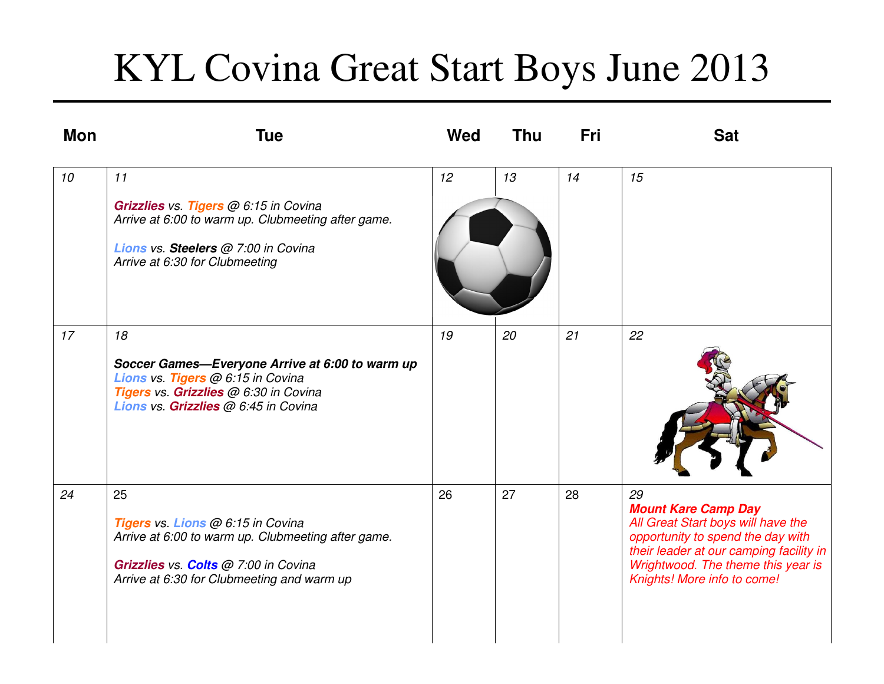## KYL Covina Great Start Boys June 2013

| <b>Mon</b> | <b>Tue</b>                                                                                                                                                                          | Wed | <b>Thu</b> | Fri | <b>Sat</b>                                                                                                                                                                                                                  |
|------------|-------------------------------------------------------------------------------------------------------------------------------------------------------------------------------------|-----|------------|-----|-----------------------------------------------------------------------------------------------------------------------------------------------------------------------------------------------------------------------------|
| 10         | 11<br>Grizzlies vs. Tigers @ 6:15 in Covina<br>Arrive at 6:00 to warm up. Clubmeeting after game.<br>Lions vs. Steelers @ 7:00 in Covina<br>Arrive at 6:30 for Clubmeeting          | 12  | 13         | 14  | 15                                                                                                                                                                                                                          |
| 17         | 18<br>Soccer Games-Everyone Arrive at 6:00 to warm up<br>Lions vs. Tigers @ 6:15 in Covina<br>Tigers vs. Grizzlies @ 6:30 in Covina<br>Lions vs. Grizzlies @ 6:45 in Covina         | 19  | 20         | 21  | 22                                                                                                                                                                                                                          |
| 24         | 25<br>Tigers vs. Lions @ 6:15 in Covina<br>Arrive at 6:00 to warm up. Clubmeeting after game.<br>Grizzlies vs. Colts @ 7:00 in Covina<br>Arrive at 6:30 for Clubmeeting and warm up | 26  | 27         | 28  | 29<br><b>Mount Kare Camp Day</b><br>All Great Start boys will have the<br>opportunity to spend the day with<br>their leader at our camping facility in<br>Wrightwood. The theme this year is<br>Knights! More info to come! |